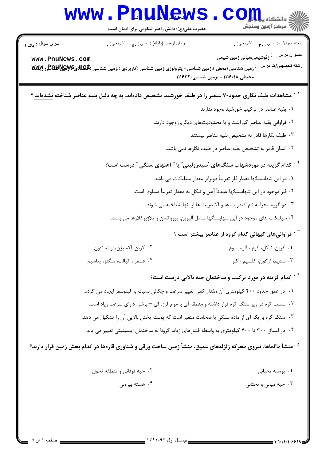|                 | <b>LUTIVEWP</b><br>حضرت علی(ع): دانش راهبر نیکویی برای ایمان است                                                 | دانشگاه پ <b>یا ب</b><br>ر آمرڪز آزمون وسنڊش                                                                                        |
|-----------------|------------------------------------------------------------------------------------------------------------------|-------------------------------------------------------------------------------------------------------------------------------------|
| سري سوال : يک ۱ | زمان أزمون (دقيقه) : تستى : ۵۰       تشريحي : .                                                                  | تعداد سوالات : تستبي : ٩. مسمد التشريحي : .                                                                                         |
| www.PnuNews.com | زمین شناسی (محض )،زمین شناسی- پترولوژی،زمین شناسی (کاربردی )،زمین شناسی ( <b>P.B.W.By (P.B.W.B.H.) تولالاتلا</b> | عنــوان درس<br><sup>:</sup> ژئوشیمی،مبانی زمین شیمی<br>رشته تحصيلي/كد درس<br>محیطی ۱۱۱۶۰۱۸ - ،زمین شناسی۲۲۰(۱۱۱                     |
|                 |                                                                                                                  | ّ - مشاهدات طیف نگاری حدود۷۰ عنصر را در طیف خورشید تشخیص دادهاند. به چه دلیل بقیه عناصر شناخته نشدهاند ؟                            |
|                 |                                                                                                                  | ۰۱ بقیه عناصر در ترکیب خورشید وجود ندارند.                                                                                          |
|                 |                                                                                                                  | ۰۲ فراوانی بقیه عناصر کم است و یا محدودیتهای دیگری وجود دارند.                                                                      |
|                 |                                                                                                                  | ۰۳ طیف نگارها قادر به تشخیص بقیه عناصر نیستند.                                                                                      |
|                 |                                                                                                                  | ۰۴ انسان قادر به تشخیص بقیه عناصر در طیف نگارها نمی باشد.                                                                           |
|                 |                                                                                                                  | <sup>۲ -</sup> کدام گزینه در موردشهاب سنگهای <sup>"</sup> سیدرولیتی <sup>"</sup> یا <sup>"</sup> آهنهای سنگی <sup>"</sup> درست است؟ |
|                 |                                                                                                                  | ۰۱ در این شهابسنگها مقدار فلز تقریباً دوبرابر مقدار سیلیکات می باشد.                                                                |
|                 |                                                                                                                  | ۲ . فلز موجود در این شهابسنگها عمدتاً آهن و نیکل به مقدار تقریباً مساوی است.                                                        |
|                 |                                                                                                                  | ۰۳ دو گروه مجزا به نام کندریت ها و آکندریت ها از آنها شناخته می شوند.                                                               |
|                 |                                                                                                                  | ۰۴ سیلیکات های موجود در این شهابسنگها شامل الیوین، پیروکسن و پلاژیوکلازها می باشد.                                                  |
|                 |                                                                                                                  | <sup>۳ -</sup> فراوانیهای کیهانی کدام گروه از عناصر بیشتر است ؟                                                                     |
|                 | ۰۲ کربن، اکسیژن، ازت، نئون                                                                                       | ٠١ كربن، نيكل، كرم ، آلومينيوم                                                                                                      |
|                 | ۰۴ فسفر ، كبالت، منگنز، پتاسيم                                                                                   | ۰۳ سديم، آرگون، كلسيم ، كلر                                                                                                         |
|                 |                                                                                                                  | <sup>۰۴</sup> کدام گزینه در مورد ترکیب و ساختمان جبه بالایی درست است؟                                                               |
|                 |                                                                                                                  | ۰۱ در عمق حدود ۴۰۰ کیلومتری آن مقدار کمی تغییر سرعت و چگالی نسبت به لیتوسفر ایجاد می گردد.                                          |
|                 |                                                                                                                  | ۰۲ سست کره در زیر سنگ کره قرار داشته و منطقه ای با موج لرزه ای – برشی دارای سرعت زیاد است.                                          |
|                 |                                                                                                                  | ۰۳ سنگ کره باریکه ای از ماده سنگی با ضخامت متغیر است که پوسته بخش بالایی آن را تشکیل می دهد.                                        |
|                 |                                                                                                                  | ۰۴ در اعماق ۳۰۰ تا ۴۰۰ کیلومتری به واسطه فشارهای زیاد، گرونا به ساختمان ایلمینیتی تغییر می یابد.                                    |
|                 |                                                                                                                  | <sup>۵ -</sup> منشأ ماگماها، نیروی محرکه زلزلههای عمیق، منشأ زمین ساخت ورقی و شناوری قارهها در کدام بخش زمین قرار دارند؟            |
|                 | ٢. جبه فوقاني و منطقه تحول                                                                                       | ۰۱ پوسته تحتانی                                                                                                                     |
|                 | ۰۴ هسته بیرونی                                                                                                   | ۰۳ جبه میانی و تحتانی                                                                                                               |
|                 |                                                                                                                  |                                                                                                                                     |
|                 |                                                                                                                  |                                                                                                                                     |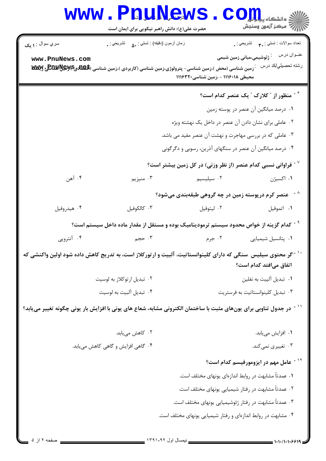|                                                                                                                                 | <b>WWW.PRUNEWS</b><br>حضرت علی(ع): دانش راهبر نیکویی برای ایمان است |                                                                                                                                          | $\text{COLL}_{\text{data}}$<br><i>إل<sup>7</sup> مرڪ</i> ز آزمون وسنڊش    |  |
|---------------------------------------------------------------------------------------------------------------------------------|---------------------------------------------------------------------|------------------------------------------------------------------------------------------------------------------------------------------|---------------------------------------------------------------------------|--|
| سري سوال : ۱ يک                                                                                                                 | زمان أزمون (دقيقه) : تستي : <sub>۵۰</sub> تشريحي : <sub>•</sub>     |                                                                                                                                          | تعداد سوالات : تستي : ٣ <b>. س</b> تشريحي : .                             |  |
| www.PnuNews.com                                                                                                                 |                                                                     | زمین شناسی (محض )،زمین شناسی- پترولوژی،زمین شناسی (کاربردی )،زمین شناسی ( <b>P.B.BY)EyvE و WWY</b><br>محیطی ۱۱۱۶۰۱۸ - ،زمین شناسی۲۲۰(۱۱۱ | عنــوان درس<br><sup>:</sup> ژئوشیمی،مبانی زمین شیمی<br>رشته تحصيلي/كد درس |  |
|                                                                                                                                 |                                                                     |                                                                                                                                          | <sup>۶ -</sup> منظور از " کلارک " یک عنصر کدام است؟                       |  |
|                                                                                                                                 |                                                                     |                                                                                                                                          | ۰۱ درصد میانگین آن عنصر در پوسته زمین                                     |  |
|                                                                                                                                 |                                                                     | ۰۲ عاملی برای نشان دادن آن عنصر در داخل یک نهشته ویژه                                                                                    |                                                                           |  |
|                                                                                                                                 | ۰۳ عاملی که در بررسی مهاجرت و نهشت آن عنصر مفید می باشد.            |                                                                                                                                          |                                                                           |  |
|                                                                                                                                 |                                                                     | ۰۴ درصد میانگین آن عنصر در سنگهای آذرین، رسوبی و دگرگونی                                                                                 |                                                                           |  |
|                                                                                                                                 |                                                                     | در کل زمین بیشتر است؟ " - فرام عنصر (از نظر وزنی) در کل زمین بیشتر است " - "                                                             |                                                                           |  |
| ۰۴ آهن                                                                                                                          | ۰۳ منيزيم                                                           | ۰۲ سیلیسیم                                                                                                                               | ۰۱ اکسیژن                                                                 |  |
|                                                                                                                                 |                                                                     | عنصر کرم درپوسته زمین در چه گروهی طبقهبندی میشود؟                                                                                        |                                                                           |  |
| ۰۴ هيدروفيل                                                                                                                     | ۰۳ کالکوفیل                                                         | ۰۲ ليتوفيل                                                                                                                               | ٠١. اتموفيل                                                               |  |
|                                                                                                                                 |                                                                     | <sup>۹ -</sup> کدام گزینه از خواص محدود سیستم ترمودینامیک بوده و مستقل از مقدار ماده داخل سیستم است؟                                     |                                                                           |  |
| ۰۴ آنتروپی                                                                                                                      | ۰۳ حجم                                                              | ۰۲ جرم                                                                                                                                   | ۰۱ پتانسیل شیمیایی                                                        |  |
|                                                                                                                                 |                                                                     | <sup>۱۰ -</sup> اگر محتوی سیلیس  سنگی که دارای کلینوانستاتیت، آلبیت و ارتورکلاز است، به تدریج کاهش داده شود اولین واکنشی که              | اتفاق میافتد کدام است؟                                                    |  |
|                                                                                                                                 | ۰۲ تبدیل ارتوکلاز به لوسیت                                          |                                                                                                                                          | ٠١ تبديل آلييت به نفلين                                                   |  |
| ۰۴ تبديل آلبيت به لوسيت                                                                                                         |                                                                     |                                                                                                                                          | ٠٣ تبديل كلينوانستاتيت به فرستريت                                         |  |
| <sup>۱۱ -</sup> در جدول تناوبی برای یونهای مثبت با ساختمان الکترونی مشابه، شعاع های یونی با افزایش بار یونی چگونه تغییر مییابد؟ |                                                                     |                                                                                                                                          |                                                                           |  |
|                                                                                                                                 | ۰۲ کاهش مییابد.                                                     |                                                                                                                                          | ۰۱ افزایش مییابد.                                                         |  |
|                                                                                                                                 | ۰۴ گاهی افزایش و گاهی کاهش مییابد.                                  |                                                                                                                                          | ۰۳ تغییری نمیکند.                                                         |  |
|                                                                                                                                 |                                                                     |                                                                                                                                          | <sup>۱۲ -</sup> عامل مهم در ایزومورفیسم کدام است؟                         |  |
|                                                                                                                                 |                                                                     | ۰۱ عمدتاً مشابهت در روابط اندازهای یونهای مختلف است.                                                                                     |                                                                           |  |
|                                                                                                                                 |                                                                     | ۰۲ عمدتاً مشابهت در رفتار شیمیایی یونهای مختلف است.                                                                                      |                                                                           |  |
|                                                                                                                                 |                                                                     | ۰۳ عمدتاً مشابهت در رفتار ژئوشیمیایی یونهای مختلف است.                                                                                   |                                                                           |  |
|                                                                                                                                 |                                                                     | ۰۴ مشابهت در روابط اندازهای و رفتار شیمیایی یونهای مختلف است.                                                                            |                                                                           |  |
|                                                                                                                                 |                                                                     |                                                                                                                                          |                                                                           |  |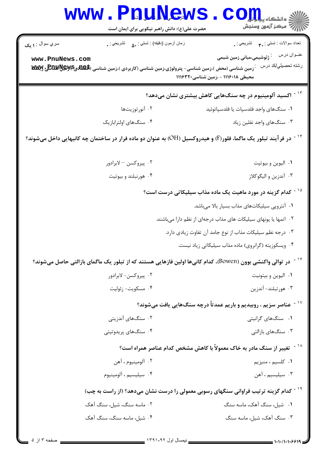|                                                                                                              | WWW.Phunews<br>حضرت علی(ع): دانش راهبر نیکویی برای ایمان است | $\text{COLL}_{\text{data}}$<br>رآ - مرڪز آزمون وسنڊش                                                                                                                                                                          |  |  |
|--------------------------------------------------------------------------------------------------------------|--------------------------------------------------------------|-------------------------------------------------------------------------------------------------------------------------------------------------------------------------------------------------------------------------------|--|--|
| سري سوال : ۱ يک                                                                                              | زمان أزمون (دقيقه) : تستي : ۵۰       تشريحي : .              | تعداد سوالات : تستي : ٣ <b>. س</b> تشريحي : .                                                                                                                                                                                 |  |  |
| www.PnuNews.com                                                                                              |                                                              | عنــوان درس<br><sup>:</sup> ژئوشیمی،مبانی زمین شیمی<br>رشته تحصبلي/كد درس<br>ّ زمین شناسی (محض )،زمین شناسی- پترولوژی،زمین شناسی (کاربردی )،زمین شناسی ( <b>P.B.W.By)&amp;WE و WX</b> Y<br>محیطی ۱۱۱۶۰۱۸ - ،زمین شناسی۲۲۰(۱۱۱ |  |  |
|                                                                                                              |                                                              | <sup>۱۳ -</sup> اکسید آلومینیوم در چه سنگهایی کاهش بیشتری نشان میدهد؟                                                                                                                                                         |  |  |
|                                                                                                              | ۰۲ آنورتوزیتها                                               | ۰۱ سنگهای واجد فلدسپات یا فلدسپاتوئید                                                                                                                                                                                         |  |  |
|                                                                                                              | ۰۴ سنگهای اولترابازیک                                        | ۰۳ سنگهای واجد نفلین زیاد                                                                                                                                                                                                     |  |  |
| در فرآیند تبلور یک ماگما، فلور(F) و هیدروکسیل (OH) به عنوان دو ماده فرار در ساختمان چه کانیهایی داخل میشوند؟ |                                                              |                                                                                                                                                                                                                               |  |  |
|                                                                                                              | ٠٢ پيروكسن – لابرادور                                        | ۰۱ اليوين و بيوتيت                                                                                                                                                                                                            |  |  |
|                                                                                                              | ۰۴ هورنبلند و بیوتیت                                         | ۰۳ آندزین و الیگوکلاز                                                                                                                                                                                                         |  |  |
|                                                                                                              |                                                              | <sup>۱۵ -</sup> کدام گزینه در مورد ماهیت یک ماده مذاب سیلیکاتی درست است؟                                                                                                                                                      |  |  |
|                                                                                                              |                                                              | ٠١ آنتروپی سیلیکاتهای مذاب بسیار بالا میباشد.                                                                                                                                                                                 |  |  |
|                                                                                                              |                                                              | ۰۲ اتمها یا یونهای سیلیکات های مذاب درجهای از نظم دارا میباشند.                                                                                                                                                               |  |  |
|                                                                                                              |                                                              | ۰۳ درجه نظم سیلیکات مذاب از نوع جامد آن تفاوت زیادی دارد.                                                                                                                                                                     |  |  |
|                                                                                                              |                                                              | ۰۴ ویسکوزیته (گرانروی) ماده مذاب سیلیکاتی زیاد نیست.                                                                                                                                                                          |  |  |
|                                                                                                              |                                                              | <sup>۱۶ -</sup> در توالی واکنشی بوون (Bowen)، کدام کانیها اولین فازهایی هستند که از تبلور یک ماگمای بازالتی حاصل میشوند؟                                                                                                      |  |  |
|                                                                                                              | ۰۲ پیروکسن-لابرادور                                          | ٠١. اليوين و بيتونيت                                                                                                                                                                                                          |  |  |
|                                                                                                              | ۰۴ مسکویت- زئولیت                                            | ۰۳ هورتبلند- آندزین                                                                                                                                                                                                           |  |  |
|                                                                                                              |                                                              | <sup>۱۷ -</sup> عناصر سزیم ، روبیدیم و باریم عمدتاً درچه سنگهایی یافت میشوند؟                                                                                                                                                 |  |  |
|                                                                                                              | ۰۲ سنگهای آندزیتی                                            | ۰۱ سنگهای گرانیتی                                                                                                                                                                                                             |  |  |
|                                                                                                              | ۰۴ سنگهای پریدوتیتی                                          | ۰۳ سنگهای بازالتی                                                                                                                                                                                                             |  |  |
|                                                                                                              |                                                              | <sup>۱۸ -</sup> تغییر از سنگ مادر به خاک معمولاً با کاهش مشخص کدام عناصر همراه است؟                                                                                                                                           |  |  |
|                                                                                                              | ۰۲ آلومينيوم ، آهن                                           | ٠١. كلسيم ، منيزيم                                                                                                                                                                                                            |  |  |
|                                                                                                              | ۰۴ سیلیسیم ، آلومینیوم                                       | ۰۳ سیلیسیم ، آهن                                                                                                                                                                                                              |  |  |
|                                                                                                              |                                                              | <sup>۱۹ -</sup> کدام گزینه ترتیب فراوانی سنگهای رسوبی معمولی را درست نشان میدهد؟ (از راست به چب)                                                                                                                              |  |  |
|                                                                                                              | ۰۲ ماسه سنگ، شیل، سنگ آهک                                    | ۰۱ شیل، سنگ آهک، ماسه سنگ                                                                                                                                                                                                     |  |  |
|                                                                                                              | ۰۴ شیل، ماسه سنگ، سنگ آهک                                    | ۰۳ سنگ آهک، شیل، ماسه سنگ                                                                                                                                                                                                     |  |  |
|                                                                                                              |                                                              |                                                                                                                                                                                                                               |  |  |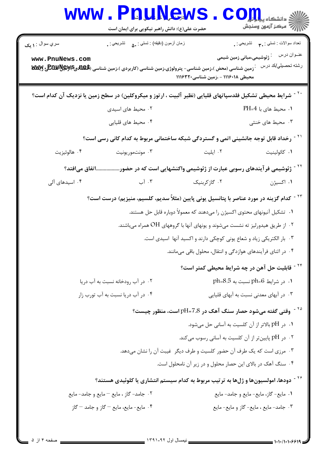|                 | حضرت علی(ع): دانش راهبر نیکویی برای ایمان است                                                                               |                                                                           | ر آمرڪز آزمون وسنڊش                                                     |
|-----------------|-----------------------------------------------------------------------------------------------------------------------------|---------------------------------------------------------------------------|-------------------------------------------------------------------------|
| سري سوال : ۱ يک | زمان أزمون (دقيقه) : تستي : هي       تشريحي : .                                                                             |                                                                           | نعداد سوالات : تستبي : پم       تشريحي : .                              |
| www.PnuNews.com |                                                                                                                             |                                                                           | عنــوان درس<br>.<br>· ژئوشیمی،مبانی زمین شیمی                           |
|                 | زمین شناسی (محض )،زمین شناسی- پترولوژی،زمین شناسی (کاربردی )،زمین شناسی ( <b>لَكَـللایِگَالالَـلَـلَّـلِّي لِالِلالَّلا</b> | محیطی ۱۱۱۶۰۱۸ - ،زمین شناسی۲۲۰(۱۱۱                                        | رشته تحصيلي/كد درس                                                      |
|                 | شرایط محیطی تشکیل فلدسپاتهای قلیایی (نظیر آلبیت ، ارتوز و میکروکلین) در سطح زمین یا نزدیک آن کدام است؟                      |                                                                           |                                                                         |
|                 | ۰۲ محیط های اسیدی                                                                                                           |                                                                           | ۰۱ محیط های با PH=4                                                     |
|                 | ۰۴ محیط های قلیایی                                                                                                          |                                                                           | ۰۳ محیط های خنثی                                                        |
|                 | <sup>۲۱ -</sup> رخداد قابل توجه جانشینی اتمی و گستردگی شبکه ساختمانی مربوط به کدام کانی رسی است؟                            |                                                                           |                                                                         |
| ۰۴ هالوئيزيت    | ۰۳ مونتموريونيت                                                                                                             | ۰۲ ایلیت                                                                  | ۰۱ كائولينيت                                                            |
| اتفاق میافتد؟   | <sup>۲۲ -</sup> ژئوشیمی فرآیندهای رسوبی عبارت از ژئوشیمی واکنشهایی است که در حضور….                                         |                                                                           |                                                                         |
| ۰۴ اسیدهای آلی  | ۰۳ آب                                                                                                                       | ۰۲ گازکربنیک                                                              | ۰۱ اکسیژن                                                               |
|                 | <sup>۲۳ -</sup> کدام گزینه در مورد عناصر با پتانسیل یونی پایین (مثلاً سدیم، کلسیم، منیزیم) درست است؟                        |                                                                           |                                                                         |
|                 |                                                                                                                             | ۰۱ تشکیل آنیونهای محتوی اکسیژن را میدهند که معمولاً دوباره قابل حل هستند. |                                                                         |
|                 | ۰۲ از طریق هیدورلیز ته نشست میشوند و یونهای آنها با گروههای OH همراه میباشند.                                               |                                                                           |                                                                         |
|                 |                                                                                                                             | ۰۳ بار الکتریکی زیاد و شعاع یونی کوچکی دارند و اکسید آنها اسیدی است.      |                                                                         |
|                 |                                                                                                                             | ۰۴ در اثنای فرآیندهای هوازدگی و انتقال، محلول باقی میمانند.               |                                                                         |
|                 |                                                                                                                             |                                                                           | <sup>۲۴ -</sup> قابلیت حل آهن در چه شرایط محیطی کمتر است؟               |
|                 | ۰۲ در آب رودخانه نسبت به آب دریا                                                                                            |                                                                           | $ph=8.5$ ، در شرايط ph=6 نسبت به 9.5-                                   |
|                 | ۰۴ در آب دریا نسبت به آب تورب زار                                                                                           |                                                                           | ۰۳ در آبهای معدنی نسبت به آبهای قلیایی                                  |
|                 |                                                                                                                             |                                                                           | <sup>۲۵ -</sup> وقتی گفته میشود حصار سنگ آهک در 7.8=pH است، منظور چیست؟ |
|                 |                                                                                                                             | ۰۱ در pH بالاتر از آن کلسیت به آسانی حل میشود.                            |                                                                         |
|                 |                                                                                                                             | ۰۲ در pH پایینتر از آن کلسیت به آسانی رسوب میکند. $\,$                    |                                                                         |
|                 | ۰۳ مرزی است که یک طرف آن حضور کلسیت و طرف دیگر  غیبت آن را نشان میدهد.                                                      |                                                                           |                                                                         |
|                 |                                                                                                                             | ۰۴ سنگ آهک در بالای این حصار محلول و در زیر آن نامحلول است.               |                                                                         |
|                 | <sup>۲۶ -</sup> دودها، امولسیونها و ژلها به ترتیب مربوط به کدام سیستم انتشاری یا کلوئیدی هستند؟                             |                                                                           |                                                                         |
|                 | ٠٢ جامد- گاز ، مايع – مايع و جامد- مايع                                                                                     |                                                                           | ٠١ مايع- گاز، مايع- مايع و جامد- مايع                                   |
|                 | ۰۴ مایع-مایع، مایع – گاز و جامد – گاز                                                                                       |                                                                           | ٠٣ جامد- مايع ، مايع- گاز و مايع- مايع                                  |